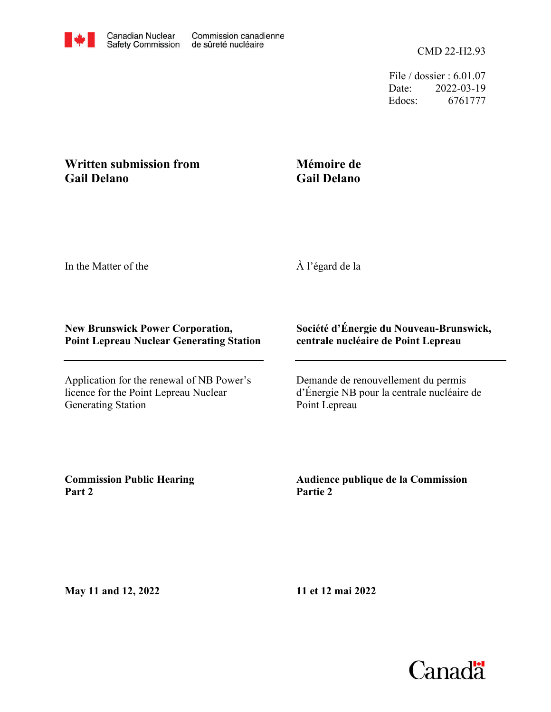

File / dossier : 6.01.07 Date: 2022-03-19 Edocs: 6761777

## **Written submission from Gail Delano**

## **Mémoire de Gail Delano**

In the Matter of the

À l'égard de la

## **New Brunswick Power Corporation, Point Lepreau Nuclear Generating Station**

Application for the renewal of NB Power's licence for the Point Lepreau Nuclear Generating Station

## **Société d'Énergie du Nouveau-Brunswick, centrale nucléaire de Point Lepreau**

Demande de renouvellement du permis d'Énergie NB pour la centrale nucléaire de Point Lepreau

**Commission Public Hearing Part 2**

**Audience publique de la Commission Partie 2**

**May 11 and 12, 2022**

**11 et 12 mai 2022**

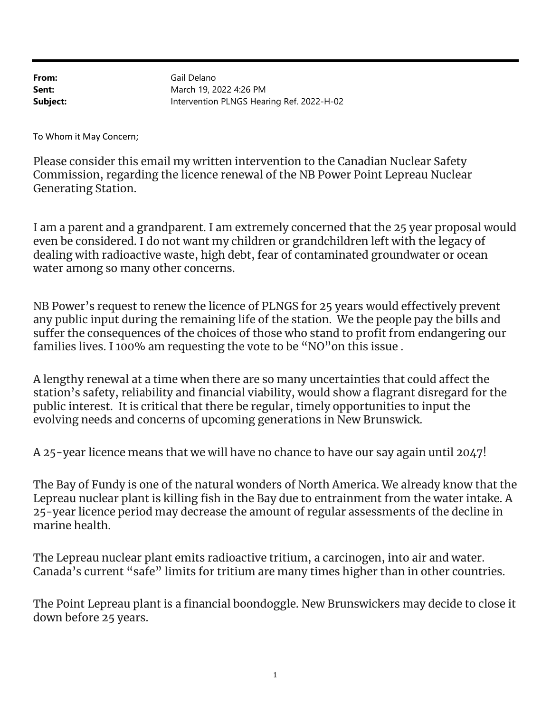From: Sent: Subject: Intervention PLNGS Hearing Ref. 2022-H-02 March 19, 2022 4:26 PM Gail Delano

To Whom it May Concern;

Please consider this email my written intervention to the Canadian Nuclear Safety Commission, regarding the licence renewal of the NB Power Point Lepreau Nuclear Generating Station.

I am a parent and a grandparent. I am extremely concerned that the 25 year proposal would even be considered. I do not want my children or grandchildren left with the legacy of dealing with radioactive waste, high debt, fear of contaminated groundwater or ocean water among so many other concerns.

NB Power's request to renew the licence of PLNGS for 25 years would effectively prevent any public input during the remaining life of the station. We the people pay the bills and suffer the consequences of the choices of those who stand to profit from endangering our families lives. I 100% am requesting the vote to be "NO"on this issue .

A lengthy renewal at a time when there are so many uncertainties that could affect the station's safety, reliability and financial viability, would show a flagrant disregard for the public interest. It is critical that there be regular, timely opportunities to input the evolving needs and concerns of upcoming generations in New Brunswick.

A 25-year licence means that we will have no chance to have our say again until 2047!

The Bay of Fundy is one of the natural wonders of North America. We already know that the Lepreau nuclear plant is killing fish in the Bay due to entrainment from the water intake. A 25-year licence period may decrease the amount of regular assessments of the decline in marine health.

The Lepreau nuclear plant emits radioactive tritium, a carcinogen, into air and water. Canada's current "safe" limits for tritium are many times higher than in other countries.

The Point Lepreau plant is a financial boondoggle. New Brunswickers may decide to close it down before 25 years.